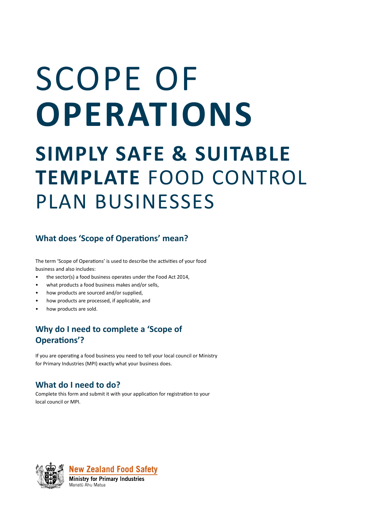# SCOPE OF **OPERATIONS**

## **SIMPLY SAFE & SUITABLE TEMPLATE** FOOD CONTROL PLAN BUSINESSES

#### **What does 'Scope of Operations' mean?**

The term 'Scope of Operations' is used to describe the activities of your food business and also includes:

- the sector(s) a food business operates under the Food Act 2014,
- what products a food business makes and/or sells,
- how products are sourced and/or supplied,
- how products are processed, if applicable, and
- how products are sold.

### **Why do I need to complete a 'Scope of Operations'?**

If you are operating a food business you need to tell your local council or Ministry for Primary Industries (MPI) exactly what your business does.

#### **What do I need to do?**

Complete this form and submit it with your application for registration to your local council or MPI.





**Ministry for Primary Industries** Manatū Ahu Matua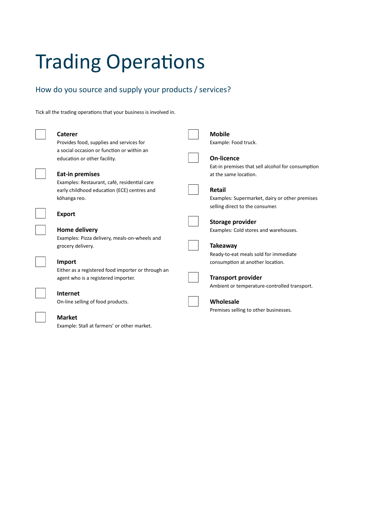## Trading Operations

#### How do you source and supply your products / services?

Tick all the trading operations that your business is involved in.

| Caterer                                            | <b>Mobile</b>                                     |
|----------------------------------------------------|---------------------------------------------------|
| Provides food, supplies and services for           | Example: Food truck.                              |
| a social occasion or function or within an         |                                                   |
| education or other facility.                       | On-licence                                        |
|                                                    | Eat-in premises that sell alcohol for consumption |
| <b>Eat-in premises</b>                             | at the same location.                             |
| Examples: Restaurant, café, residential care       |                                                   |
| early childhood education (ECE) centres and        | <b>Retail</b>                                     |
| kōhanga reo.                                       | Examples: Supermarket, dairy or other premises    |
|                                                    | selling direct to the consumer.                   |
| <b>Export</b>                                      |                                                   |
|                                                    | <b>Storage provider</b>                           |
| Home delivery                                      | Examples: Cold stores and warehouses.             |
| Examples: Pizza delivery, meals-on-wheels and      |                                                   |
| grocery delivery.                                  | <b>Takeaway</b>                                   |
|                                                    | Ready-to-eat meals sold for immediate             |
| Import                                             | consumption at another location.                  |
| Either as a registered food importer or through an |                                                   |
| agent who is a registered importer.                | <b>Transport provider</b>                         |
|                                                    | Ambient or temperature-controlled transport.      |
| Internet                                           |                                                   |
| On-line selling of food products.                  | Wholesale                                         |
|                                                    | Premises selling to other businesses.             |
| <b>Market</b>                                      |                                                   |
| Example: Stall at farmers' or other market.        |                                                   |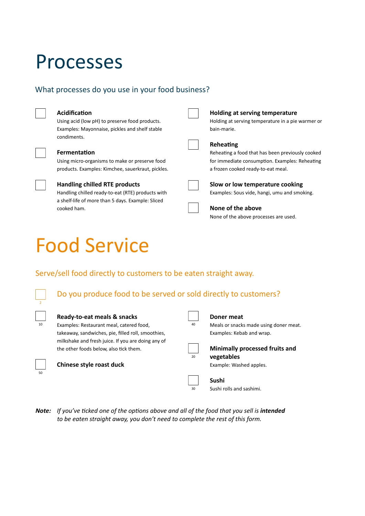## Processes

#### What processes do you use in your food business?

#### **Acidification**

Using acid (low pH) to preserve food products. Examples: Mayonnaise, pickles and shelf stable condiments.

#### **Fermentation**

Using micro-organisms to make or preserve food products. Examples: Kimchee, sauerkraut, pickles.



#### **Handling chilled RTE products**

Handling chilled ready-to-eat (RTE) products with a shelf-life of more than 5 days. Example: Sliced cooked ham.

| bain-marie.   |
|---------------|
| Reheating     |
| Reheating a f |

eating a food that has been previously cooked for immediate consumption. Examples: Reheating a frozen cooked ready-to-eat meal.

Holding at serving temperature in a pie warmer or

**Holding at serving temperature**



#### **None of the above**

None of the above processes are used.

## Food Service

#### Serve/sell food directly to customers to be eaten straight away.



#### Do you produce food to be served or sold directly to customers?

|  | ____ |  |
|--|------|--|
|  |      |  |
|  |      |  |
|  |      |  |
|  |      |  |

#### **Ready-to-eat meals & snacks**

<sup>10</sup> Examples: Restaurant meal, catered food, Examples:  $40$ takeaway, sandwiches, pie, filled roll, smoothies, milkshake and fresh juice. If you are doing any of the other foods below, also tick them.



#### **Chinese style roast duck**

| Doner   |
|---------|
| Meals c |
| Exampl  |
|         |

#### **Doner meat**

or snacks made using doner meat. les: Kebab and wrap.



 $\overline{30}$ 

#### **Minimally processed fruits and**

**vegetables**

Example: Washed apples.

#### **Sushi**

Sushi rolls and sashimi.

Note: If you've ticked one of the options above and all of the food that you sell is *intended to be eaten straight away, you don't need to complete the rest of this form.*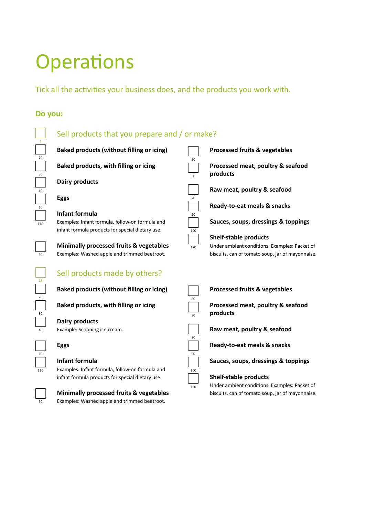## **Operations**

Tick all the activities your business does, and the products you work with.

#### **Do you:**



#### Sell products that you prepare and / or make?



60

30

100

120

90

20

**Baked products (without filling or icing)**

**Baked products, with filling or icing**

#### **Dairy products**

Example: Scooping ice cream.

#### **Eggs**

#### **Infant formula**

Examples: Infant formula, follow-on formula and infant formula products for special dietary use.



#### **Minimally processed fruits & vegetables** Examples: Washed apple and trimmed beetroot.